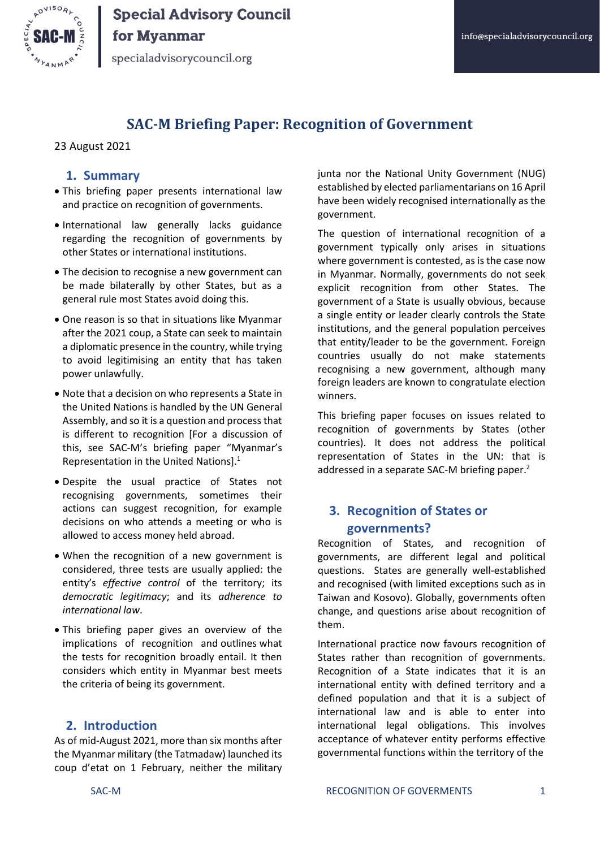

specialadvisorycouncil.org

## **SAC-M Briefing Paper: Recognition of Government**

#### 23 August 2021

## **1. Summary**

- This briefing paper presents international law and practice on recognition of governments.
- International law generally lacks guidance regarding the recognition of governments by other States or international institutions.
- The decision to recognise a new government can be made bilaterally by other States, but as a general rule most States avoid doing this.
- One reason is so that in situations like Myanmar after the 2021 coup, a State can seek to maintain a diplomatic presence in the country, while trying to avoid legitimising an entity that has taken power unlawfully.
- Note that a decision on who represents a State in the United Nations is handled by the UN General Assembly, and so it is a question and process that is different to recognition [For a discussion of this, see SAC-M's briefing paper "Myanmar's Representation in the United Nations]. 1
- Despite the usual practice of States not recognising governments, sometimes their actions can suggest recognition, for example decisions on who attends a meeting or who is allowed to access money held abroad.
- When the recognition of a new government is considered, three tests are usually applied: the entity's *effective control* of the territory; its *democratic legitimacy*; and its *adherence to international law*.
- This briefing paper gives an overview of the implications of recognition and outlines what the tests for recognition broadly entail. It then considers which entity in Myanmar best meets the criteria of being its government.

### **2. Introduction**

As of mid-August 2021, more than six months after the Myanmar military (the Tatmadaw) launched its coup d'etat on 1 February, neither the military junta nor the National Unity Government (NUG) established by elected parliamentarians on 16 April have been widely recognised internationally as the government.

The question of international recognition of a government typically only arises in situations where government is contested, as is the case now in Myanmar. Normally, governments do not seek explicit recognition from other States. The government of a State is usually obvious, because a single entity or leader clearly controls the State institutions, and the general population perceives that entity/leader to be the government. Foreign countries usually do not make statements recognising a new government, although many foreign leaders are known to congratulate election winners.

This briefing paper focuses on issues related to recognition of governments by States (other countries). It does not address the political representation of States in the UN: that is addressed in a separate SAC-M briefing paper.<sup>2</sup>

## **3. Recognition of States or governments?**

Recognition of States, and recognition of governments, are different legal and political questions. States are generally well-established and recognised (with limited exceptions such as in Taiwan and Kosovo). Globally, governments often change, and questions arise about recognition of them.

International practice now favours recognition of States rather than recognition of governments. Recognition of a State indicates that it is an international entity with defined territory and a defined population and that it is a subject of international law and is able to enter into international legal obligations. This involves acceptance of whatever entity performs effective governmental functions within the territory of the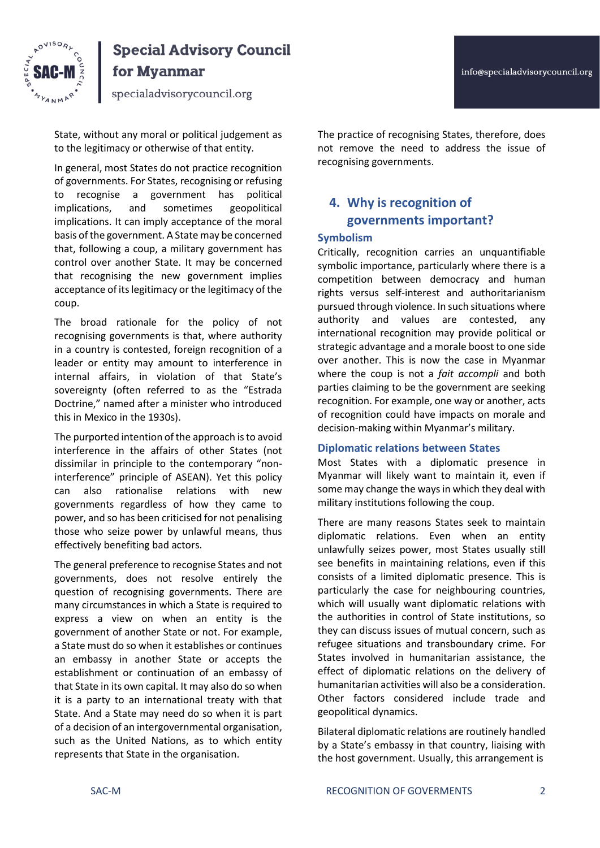

specialadvisorycouncil.org

State, without any moral or political judgement as to the legitimacy or otherwise of that entity.

In general, most States do not practice recognition of governments. For States, recognising or refusing to recognise a government has political implications, and sometimes geopolitical implications. It can imply acceptance of the moral basis of the government. A State may be concerned that, following a coup, a military government has control over another State. It may be concerned that recognising the new government implies acceptance of its legitimacy or the legitimacy of the coup.

The broad rationale for the policy of not recognising governments is that, where authority in a country is contested, foreign recognition of a leader or entity may amount to interference in internal affairs, in violation of that State's sovereignty (often referred to as the "Estrada Doctrine," named after a minister who introduced this in Mexico in the 1930s).

The purported intention of the approach is to avoid interference in the affairs of other States (not dissimilar in principle to the contemporary "noninterference" principle of ASEAN). Yet this policy can also rationalise relations with new governments regardless of how they came to power, and so has been criticised for not penalising those who seize power by unlawful means, thus effectively benefiting bad actors.

The general preference to recognise States and not governments, does not resolve entirely the question of recognising governments. There are many circumstances in which a State is required to express a view on when an entity is the government of another State or not. For example, a State must do so when it establishes or continues an embassy in another State or accepts the establishment or continuation of an embassy of that State in its own capital. It may also do so when it is a party to an international treaty with that State. And a State may need do so when it is part of a decision of an intergovernmental organisation, such as the United Nations, as to which entity represents that State in the organisation.

The practice of recognising States, therefore, does not remove the need to address the issue of recognising governments.

## **4. Why is recognition of governments important?**

#### **Symbolism**

Critically, recognition carries an unquantifiable symbolic importance, particularly where there is a competition between democracy and human rights versus self-interest and authoritarianism pursued through violence. In such situations where authority and values are contested, any international recognition may provide political or strategic advantage and a morale boost to one side over another. This is now the case in Myanmar where the coup is not a *fait accompli* and both parties claiming to be the government are seeking recognition. For example, one way or another, acts of recognition could have impacts on morale and decision-making within Myanmar's military.

#### **Diplomatic relations between States**

Most States with a diplomatic presence in Myanmar will likely want to maintain it, even if some may change the ways in which they deal with military institutions following the coup.

There are many reasons States seek to maintain diplomatic relations. Even when an entity unlawfully seizes power, most States usually still see benefits in maintaining relations, even if this consists of a limited diplomatic presence. This is particularly the case for neighbouring countries, which will usually want diplomatic relations with the authorities in control of State institutions, so they can discuss issues of mutual concern, such as refugee situations and transboundary crime. For States involved in humanitarian assistance, the effect of diplomatic relations on the delivery of humanitarian activities will also be a consideration. Other factors considered include trade and geopolitical dynamics.

Bilateral diplomatic relations are routinely handled by a State's embassy in that country, liaising with the host government. Usually, this arrangement is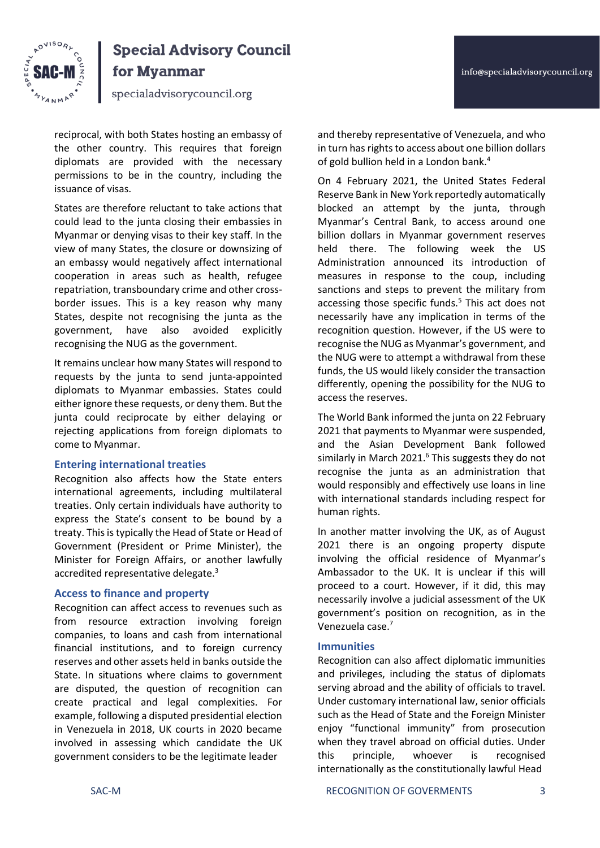



specialadvisorycouncil.org

reciprocal, with both States hosting an embassy of the other country. This requires that foreign diplomats are provided with the necessary permissions to be in the country, including the issuance of visas.

States are therefore reluctant to take actions that could lead to the junta closing their embassies in Myanmar or denying visas to their key staff. In the view of many States, the closure or downsizing of an embassy would negatively affect international cooperation in areas such as health, refugee repatriation, transboundary crime and other crossborder issues. This is a key reason why many States, despite not recognising the junta as the government, have also avoided explicitly recognising the NUG as the government.

It remains unclear how many States will respond to requests by the junta to send junta-appointed diplomats to Myanmar embassies. States could either ignore these requests, or deny them. But the junta could reciprocate by either delaying or rejecting applications from foreign diplomats to come to Myanmar.

## **Entering international treaties**

Recognition also affects how the State enters international agreements, including multilateral treaties. Only certain individuals have authority to express the State's consent to be bound by a treaty. This is typically the Head of State or Head of Government (President or Prime Minister), the Minister for Foreign Affairs, or another lawfully accredited representative delegate.<sup>3</sup>

## **Access to finance and property**

Recognition can affect access to revenues such as from resource extraction involving foreign companies, to loans and cash from international financial institutions, and to foreign currency reserves and other assets held in banks outside the State. In situations where claims to government are disputed, the question of recognition can create practical and legal complexities. For example, following a disputed presidential election in Venezuela in 2018, UK courts in 2020 became involved in assessing which candidate the UK government considers to be the legitimate leader

and thereby representative of Venezuela, and who in turn has rights to access about one billion dollars of gold bullion held in a London bank.<sup>4</sup>

On 4 February 2021, the United States Federal Reserve Bank in New York reportedly automatically blocked an attempt by the junta, through Myanmar's Central Bank, to access around one billion dollars in Myanmar government reserves held there. The following week the US Administration announced its introduction of measures in response to the coup, including sanctions and steps to prevent the military from accessing those specific funds.<sup>5</sup> This act does not necessarily have any implication in terms of the recognition question. However, if the US were to recognise the NUG as Myanmar's government, and the NUG were to attempt a withdrawal from these funds, the US would likely consider the transaction differently, opening the possibility for the NUG to access the reserves.

The World Bank informed the junta on 22 February 2021 that payments to Myanmar were suspended, and the Asian Development Bank followed similarly in March 2021. $6$  This suggests they do not recognise the junta as an administration that would responsibly and effectively use loans in line with international standards including respect for human rights.

In another matter involving the UK, as of August 2021 there is an ongoing property dispute involving the official residence of Myanmar's Ambassador to the UK. It is unclear if this will proceed to a court. However, if it did, this may necessarily involve a judicial assessment of the UK government's position on recognition, as in the Venezuela case.<sup>7</sup>

## **Immunities**

Recognition can also affect diplomatic immunities and privileges, including the status of diplomats serving abroad and the ability of officials to travel. Under customary international law, senior officials such as the Head of State and the Foreign Minister enjoy "functional immunity" from prosecution when they travel abroad on official duties. Under this principle, whoever is recognised internationally as the constitutionally lawful Head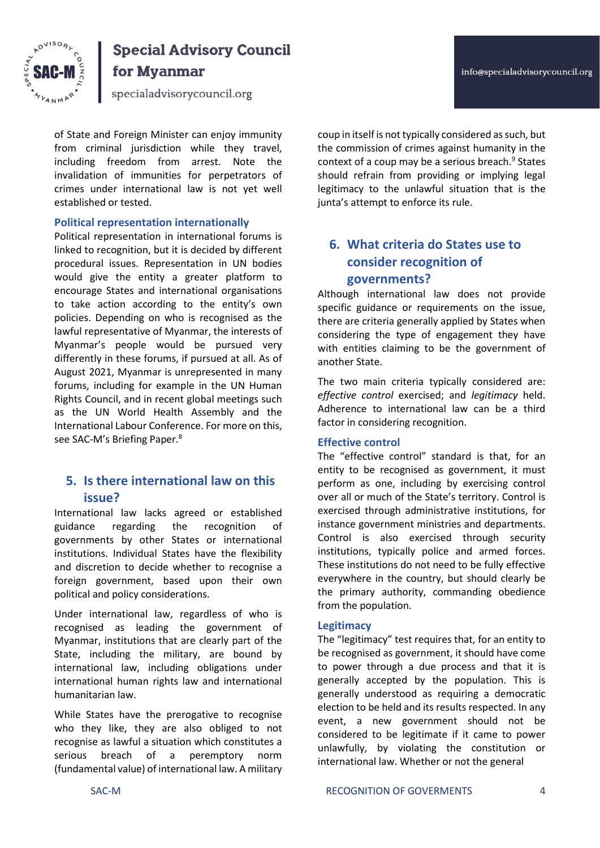

specialadvisorycouncil.org

of State and Foreign Minister can enjoy immunity from criminal jurisdiction while they travel, including freedom from arrest. Note the invalidation of immunities for perpetrators of crimes under international law is not yet well established or tested.

### **Political representation internationally**

Political representation in international forums is linked to recognition, but it is decided by different procedural issues. Representation in UN bodies would give the entity a greater platform to encourage States and international organisations to take action according to the entity's own policies. Depending on who is recognised as the lawful representative of Myanmar, the interests of Myanmar's people would be pursued very differently in these forums, if pursued at all. As of August 2021, Myanmar is unrepresented in many forums, including for example in the UN Human Rights Council, and in recent global meetings such as the UN World Health Assembly and the International Labour Conference. For more on this, see SAC-M's Briefing Paper.<sup>8</sup>

## **5. Is there international law on this issue?**

International law lacks agreed or established guidance regarding the recognition of governments by other States or international institutions. Individual States have the flexibility and discretion to decide whether to recognise a foreign government, based upon their own political and policy considerations.

Under international law, regardless of who is recognised as leading the government of Myanmar, institutions that are clearly part of the State, including the military, are bound by international law, including obligations under international human rights law and international humanitarian law.

While States have the prerogative to recognise who they like, they are also obliged to not recognise as lawful a situation which constitutes a serious breach of a peremptory norm (fundamental value) of international law. A military info@specialadvisorycouncil.org

coup in itself is not typically considered as such, but the commission of crimes against humanity in the context of a coup may be a serious breach.<sup>9</sup> States should refrain from providing or implying legal legitimacy to the unlawful situation that is the junta's attempt to enforce its rule.

## **6. What criteria do States use to consider recognition of governments?**

Although international law does not provide specific guidance or requirements on the issue, there are criteria generally applied by States when considering the type of engagement they have with entities claiming to be the government of another State.

The two main criteria typically considered are: *effective control* exercised; and *legitimacy* held. Adherence to international law can be a third factor in considering recognition.

#### **Effective control**

The "effective control" standard is that, for an entity to be recognised as government, it must perform as one, including by exercising control over all or much of the State's territory. Control is exercised through administrative institutions, for instance government ministries and departments. Control is also exercised through security institutions, typically police and armed forces. These institutions do not need to be fully effective everywhere in the country, but should clearly be the primary authority, commanding obedience from the population.

#### **Legitimacy**

The "legitimacy" test requires that, for an entity to be recognised as government, it should have come to power through a due process and that it is generally accepted by the population. This is generally understood as requiring a democratic election to be held and its results respected. In any event, a new government should not be considered to be legitimate if it came to power unlawfully, by violating the constitution or international law. Whether or not the general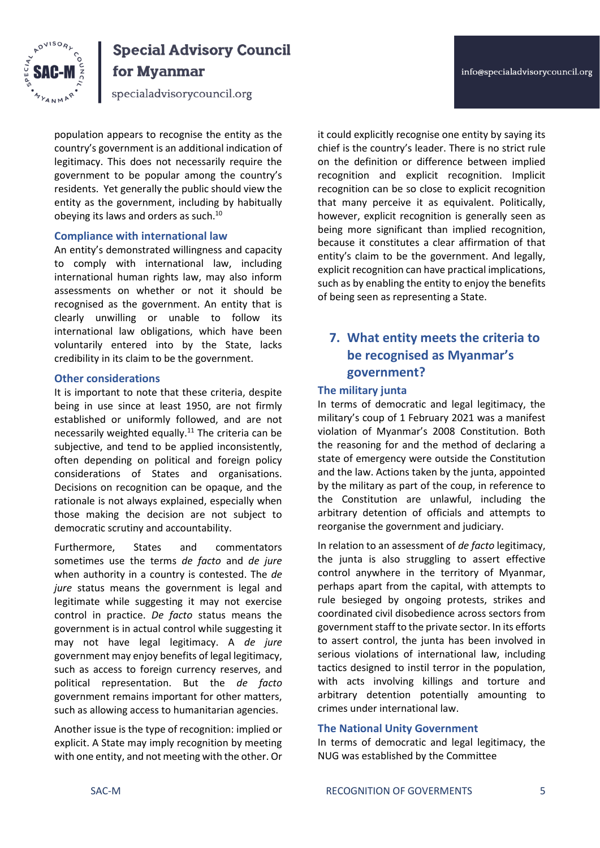



# **Special Advisory Council**

for Myanmar

specialadvisorycouncil.org

population appears to recognise the entity as the country's government is an additional indication of legitimacy. This does not necessarily require the government to be popular among the country's residents. Yet generally the public should view the entity as the government, including by habitually obeying its laws and orders as such.<sup>10</sup>

## **Compliance with international law**

An entity's demonstrated willingness and capacity to comply with international law, including international human rights law, may also inform assessments on whether or not it should be recognised as the government. An entity that is clearly unwilling or unable to follow its international law obligations, which have been voluntarily entered into by the State, lacks credibility in its claim to be the government.

## **Other considerations**

It is important to note that these criteria, despite being in use since at least 1950, are not firmly established or uniformly followed, and are not necessarily weighted equally.<sup>11</sup> The criteria can be subjective, and tend to be applied inconsistently, often depending on political and foreign policy considerations of States and organisations. Decisions on recognition can be opaque, and the rationale is not always explained, especially when those making the decision are not subject to democratic scrutiny and accountability.

Furthermore, States and commentators sometimes use the terms *de facto* and *de jure*  when authority in a country is contested. The *de jure* status means the government is legal and legitimate while suggesting it may not exercise control in practice. *De facto* status means the government is in actual control while suggesting it may not have legal legitimacy. A *de jure*  government may enjoy benefits of legal legitimacy, such as access to foreign currency reserves, and political representation. But the *de facto*  government remains important for other matters, such as allowing access to humanitarian agencies.

Another issue is the type of recognition: implied or explicit. A State may imply recognition by meeting with one entity, and not meeting with the other. Or

it could explicitly recognise one entity by saying its chief is the country's leader. There is no strict rule on the definition or difference between implied recognition and explicit recognition. Implicit recognition can be so close to explicit recognition that many perceive it as equivalent. Politically, however, explicit recognition is generally seen as being more significant than implied recognition, because it constitutes a clear affirmation of that entity's claim to be the government. And legally, explicit recognition can have practical implications, such as by enabling the entity to enjoy the benefits of being seen as representing a State.

## **7. What entity meets the criteria to be recognised as Myanmar's government?**

## **The military junta**

In terms of democratic and legal legitimacy, the military's coup of 1 February 2021 was a manifest violation of Myanmar's 2008 Constitution. Both the reasoning for and the method of declaring a state of emergency were outside the Constitution and the law. Actions taken by the junta, appointed by the military as part of the coup, in reference to the Constitution are unlawful, including the arbitrary detention of officials and attempts to reorganise the government and judiciary.

In relation to an assessment of *de facto* legitimacy, the junta is also struggling to assert effective control anywhere in the territory of Myanmar, perhaps apart from the capital, with attempts to rule besieged by ongoing protests, strikes and coordinated civil disobedience across sectors from government staff to the private sector. In its efforts to assert control, the junta has been involved in serious violations of international law, including tactics designed to instil terror in the population, with acts involving killings and torture and arbitrary detention potentially amounting to crimes under international law.

## **The National Unity Government**

In terms of democratic and legal legitimacy, the NUG was established by the Committee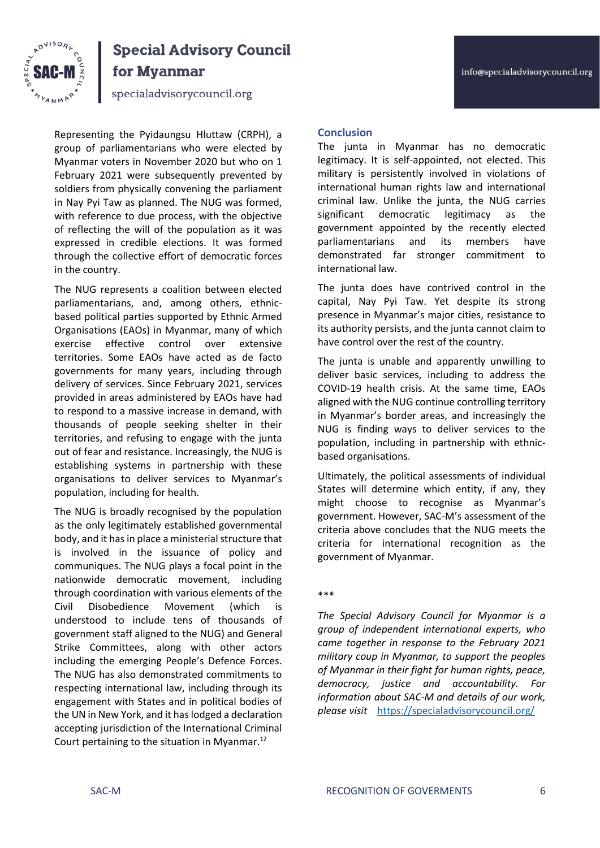

specialadvisorycouncil.org

Representing the Pyidaungsu Hluttaw (CRPH), a group of parliamentarians who were elected by Myanmar voters in November 2020 but who on 1 February 2021 were subsequently prevented by soldiers from physically convening the parliament in Nay Pyi Taw as planned. The NUG was formed, with reference to due process, with the objective of reflecting the will of the population as it was expressed in credible elections. It was formed through the collective effort of democratic forces in the country.

The NUG represents a coalition between elected parliamentarians, and, among others, ethnicbased political parties supported by Ethnic Armed Organisations (EAOs) in Myanmar, many of which exercise effective control over extensive territories. Some EAOs have acted as de facto governments for many years, including through delivery of services. Since February 2021, services provided in areas administered by EAOs have had to respond to a massive increase in demand, with thousands of people seeking shelter in their territories, and refusing to engage with the junta out of fear and resistance. Increasingly, the NUG is establishing systems in partnership with these organisations to deliver services to Myanmar's population, including for health.

The NUG is broadly recognised by the population as the only legitimately established governmental body, and it has in place a ministerial structure that is involved in the issuance of policy and communiques. The NUG plays a focal point in the nationwide democratic movement, including through coordination with various elements of the Civil Disobedience Movement (which is understood to include tens of thousands of government staff aligned to the NUG) and General Strike Committees, along with other actors including the emerging People's Defence Forces. The NUG has also demonstrated commitments to respecting international law, including through its engagement with States and in political bodies of the UN in New York, and it haslodged a declaration accepting jurisdiction of the International Criminal Court pertaining to the situation in Myanmar.<sup>12</sup>

## **Conclusion**

The junta in Myanmar has no democratic legitimacy. It is self-appointed, not elected. This military is persistently involved in violations of international human rights law and international criminal law. Unlike the junta, the NUG carries significant democratic legitimacy as the government appointed by the recently elected parliamentarians and its members have demonstrated far stronger commitment to international law.

The junta does have contrived control in the capital, Nay Pyi Taw. Yet despite its strong presence in Myanmar's major cities, resistance to its authority persists, and the junta cannot claim to have control over the rest of the country.

The junta is unable and apparently unwilling to deliver basic services, including to address the COVID-19 health crisis. At the same time, EAOs aligned with the NUG continue controlling territory in Myanmar's border areas, and increasingly the NUG is finding ways to deliver services to the population, including in partnership with ethnicbased organisations.

Ultimately, the political assessments of individual States will determine which entity, if any, they might choose to recognise as Myanmar's government. However, SAC-M's assessment of the criteria above concludes that the NUG meets the criteria for international recognition as the government of Myanmar.

\*\*\*

*The Special Advisory Council for Myanmar is a group of independent international experts, who came together in response to the February 2021 military coup in Myanmar, to support the peoples of Myanmar in their fight for human rights, peace, democracy, justice and accountability. For information about SAC-M and details of our work, please visit* <https://specialadvisorycouncil.org/>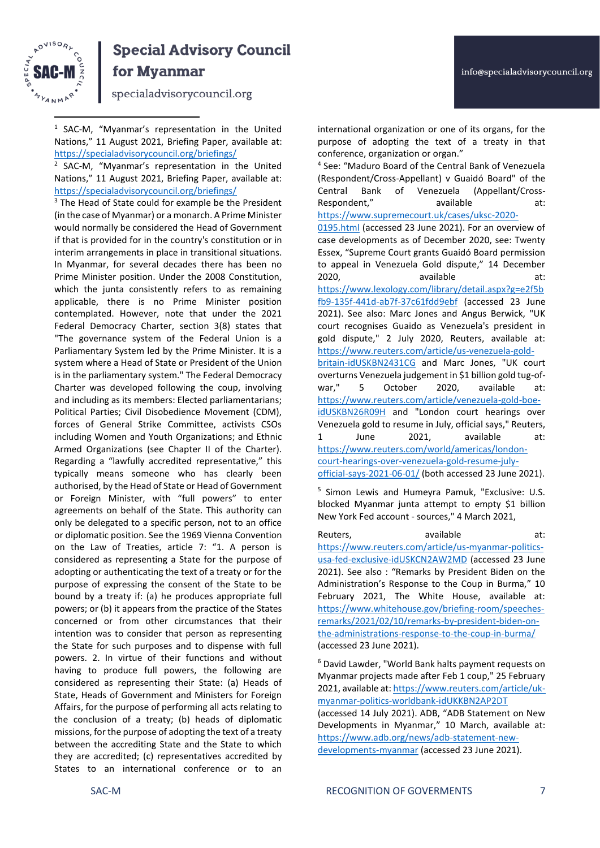

specialadvisorycouncil.org

1 SAC-M, "Myanmar's representation in the United Nations," 11 August 2021, Briefing Paper, available at: <https://specialadvisorycouncil.org/briefings/>

2 SAC-M, "Myanmar's representation in the United Nations," 11 August 2021, Briefing Paper, available at: <https://specialadvisorycouncil.org/briefings/>

<sup>3</sup> The Head of State could for example be the President (in the case of Myanmar) or a monarch. A Prime Minister would normally be considered the Head of Government if that is provided for in the country's constitution or in interim arrangements in place in transitional situations. In Myanmar, for several decades there has been no Prime Minister position. Under the 2008 Constitution, which the junta consistently refers to as remaining applicable, there is no Prime Minister position contemplated. However, note that under the 2021 Federal Democracy Charter, section 3(8) states that "The governance system of the Federal Union is a Parliamentary System led by the Prime Minister. It is a system where a Head of State or President of the Union is in the parliamentary system." The Federal Democracy Charter was developed following the coup, involving and including as its members: Elected parliamentarians; Political Parties; Civil Disobedience Movement (CDM), forces of General Strike Committee, activists CSOs including Women and Youth Organizations; and Ethnic Armed Organizations (see Chapter II of the Charter). Regarding a "lawfully accredited representative," this typically means someone who has clearly been authorised, by the Head of State or Head of Government or Foreign Minister, with "full powers" to enter agreements on behalf of the State. This authority can only be delegated to a specific person, not to an office or diplomatic position. See the 1969 Vienna Convention on the Law of Treaties, article 7: "1. A person is considered as representing a State for the purpose of adopting or authenticating the text of a treaty or for the purpose of expressing the consent of the State to be bound by a treaty if: (a) he produces appropriate full powers; or (b) it appears from the practice of the States concerned or from other circumstances that their intention was to consider that person as representing the State for such purposes and to dispense with full powers. 2. In virtue of their functions and without having to produce full powers, the following are considered as representing their State: (a) Heads of State, Heads of Government and Ministers for Foreign Affairs, for the purpose of performing all acts relating to the conclusion of a treaty; (b) heads of diplomatic missions, for the purpose of adopting the text of a treaty between the accrediting State and the State to which they are accredited; (c) representatives accredited by States to an international conference or to an

international organization or one of its organs, for the purpose of adopting the text of a treaty in that conference, organization or organ."

4 See: "Maduro Board of the Central Bank of Venezuela (Respondent/Cross-Appellant) v Guaidó Board" of the Central Bank of Venezuela (Appellant/Cross-Respondent," available at: [https://www.supremecourt.uk/cases/uksc-2020-](https://www.supremecourt.uk/cases/uksc-2020-0195.html)

[0195.html](https://www.supremecourt.uk/cases/uksc-2020-0195.html) (accessed 23 June 2021). For an overview of case developments as of December 2020, see: Twenty Essex, "Supreme Court grants Guaidó Board permission to appeal in Venezuela Gold dispute," 14 December 2020, available at: [https://www.lexology.com/library/detail.aspx?g=e2f5b](https://www.lexology.com/library/detail.aspx?g=e2f5bfb9-135f-441d-ab7f-37c61fdd9ebf) [fb9-135f-441d-ab7f-37c61fdd9ebf](https://www.lexology.com/library/detail.aspx?g=e2f5bfb9-135f-441d-ab7f-37c61fdd9ebf) (accessed 23 June 2021). See also: Marc Jones and Angus Berwick, "UK court recognises Guaido as Venezuela's president in gold dispute," 2 July 2020, Reuters, available at: [https://www.reuters.com/article/us-venezuela-gold](https://www.reuters.com/article/us-venezuela-gold-britain-idUSKBN2431CG)[britain-idUSKBN2431CG](https://www.reuters.com/article/us-venezuela-gold-britain-idUSKBN2431CG) and Marc Jones, "UK court overturns Venezuela judgement in \$1 billion gold tug-ofwar," 5 October 2020, available at: [https://www.reuters.com/article/venezuela-gold-boe](https://www.reuters.com/article/venezuela-gold-boe-idUSKBN26R09H)[idUSKBN26R09H](https://www.reuters.com/article/venezuela-gold-boe-idUSKBN26R09H) and "London court hearings over Venezuela gold to resume in July, official says," Reuters, 1 June 2021, available at: [https://www.reuters.com/world/americas/london](https://www.reuters.com/world/americas/london-court-hearings-over-venezuela-gold-resume-july-official-says-2021-06-01/)[court-hearings-over-venezuela-gold-resume-july](https://www.reuters.com/world/americas/london-court-hearings-over-venezuela-gold-resume-july-official-says-2021-06-01/)[official-says-2021-06-01/](https://www.reuters.com/world/americas/london-court-hearings-over-venezuela-gold-resume-july-official-says-2021-06-01/) (both accessed 23 June 2021).

5 Simon Lewis and Humeyra Pamuk, "Exclusive: U.S. blocked Myanmar junta attempt to empty \$1 billion New York Fed account - sources," 4 March 2021,

Reuters, available at: [https://www.reuters.com/article/us-myanmar-politics](https://www.reuters.com/article/us-myanmar-politics-usa-fed-exclusive-idUSKCN2AW2MD)[usa-fed-exclusive-idUSKCN2AW2MD](https://www.reuters.com/article/us-myanmar-politics-usa-fed-exclusive-idUSKCN2AW2MD) (accessed 23 June 2021). See also : "Remarks by President Biden on the Administration's Response to the Coup in Burma," 10 February 2021, The White House, available at: [https://www.whitehouse.gov/briefing-room/speeches](https://www.whitehouse.gov/briefing-room/speeches-remarks/2021/02/10/remarks-by-president-biden-on-the-administrations-response-to-the-coup-in-burma/)[remarks/2021/02/10/remarks-by-president-biden-on](https://www.whitehouse.gov/briefing-room/speeches-remarks/2021/02/10/remarks-by-president-biden-on-the-administrations-response-to-the-coup-in-burma/)[the-administrations-response-to-the-coup-in-burma/](https://www.whitehouse.gov/briefing-room/speeches-remarks/2021/02/10/remarks-by-president-biden-on-the-administrations-response-to-the-coup-in-burma/) (accessed 23 June 2021).

<sup>6</sup> David Lawder, "World Bank halts payment requests on Myanmar projects made after Feb 1 coup," 25 February 2021, available at[: https://www.reuters.com/article/uk](https://www.reuters.com/article/uk-myanmar-politics-worldbank-idUKKBN2AP2DT)[myanmar-politics-worldbank-idUKKBN2AP2DT](https://www.reuters.com/article/uk-myanmar-politics-worldbank-idUKKBN2AP2DT)

(accessed 14 July 2021). ADB, "ADB Statement on New Developments in Myanmar," 10 March, available at: [https://www.adb.org/news/adb-statement-new](https://www.adb.org/news/adb-statement-new-developments-myanmar)[developments-myanmar](https://www.adb.org/news/adb-statement-new-developments-myanmar) (accessed 23 June 2021).